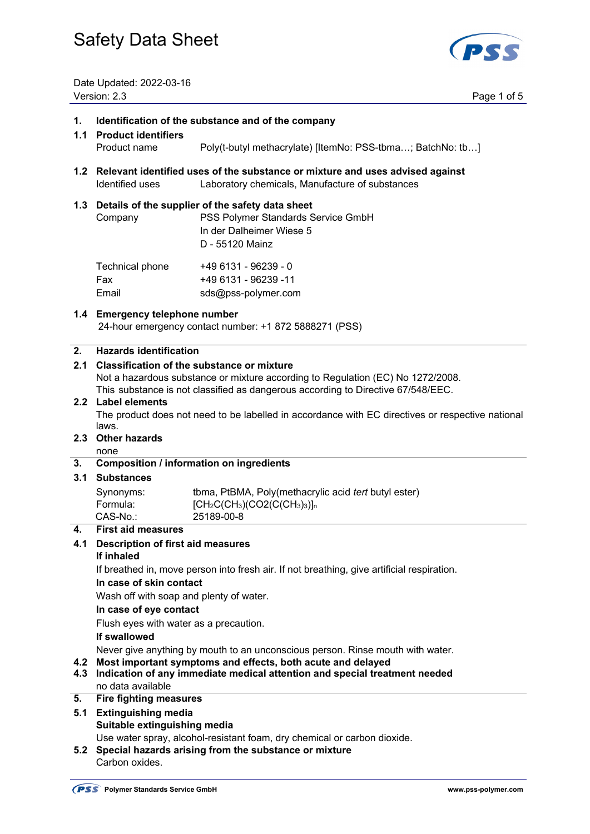

Date Updated: 2022-03-16 Version: 2.3 Page 1 of 5

## **1. Identification of the substance and of the company 1.1 Product identifiers**

- Product name Poly(t-butyl methacrylate) [ItemNo: PSS-tbma...: BatchNo: tb...]
- **1.2 Relevant identified uses of the substance or mixture and uses advised against**  Identified uses Laboratory chemicals, Manufacture of substances

#### **1.3 Details of the supplier of the safety data sheet**

 Company PSS Polymer Standards Service GmbH In der Dalheimer Wiese 5 D - 55120 Mainz Technical phone +49 6131 - 96239 - 0

 Fax +49 6131 - 96239 -11 Email sds@pss-polymer.com

#### **1.4 Emergency telephone number**

24-hour emergency contact number: +1 872 5888271 (PSS)

#### **2. Hazards identification**

#### **2.1 Classification of the substance or mixture**

Not a hazardous substance or mixture according to Regulation (EC) No 1272/2008.

This substance is not classified as dangerous according to Directive 67/548/EEC.

#### **2.2 Label elements**

 The product does not need to be labelled in accordance with EC directives or respective national laws.

### **2.3 Other hazards**

#### none

### **3. Composition / information on ingredients**

#### **3.1 Substances**

| Synonyms: | tbma, PtBMA, Poly(methacrylic acid <i>tert</i> butyl ester) |
|-----------|-------------------------------------------------------------|
| Formula:  | $[CH_2C(CH_3)(CO2(C(CH_3)_3)]_n$                            |
| CAS-No.:  | 25189-00-8                                                  |

#### **4. First aid measures**

### **4.1 Description of first aid measures**

#### **If inhaled**

If breathed in, move person into fresh air. If not breathing, give artificial respiration.

#### **In case of skin contact**

Wash off with soap and plenty of water.

#### **In case of eye contact**

Flush eyes with water as a precaution.

#### **If swallowed**

Never give anything by mouth to an unconscious person. Rinse mouth with water.

#### **4.2 Most important symptoms and effects, both acute and delayed**

**4.3 Indication of any immediate medical attention and special treatment needed**  no data available

#### **5. Fire fighting measures**

#### **5.1 Extinguishing media Suitable extinguishing media**

Use water spray, alcohol-resistant foam, dry chemical or carbon dioxide.

# **5.2 Special hazards arising from the substance or mixture**

Carbon oxides.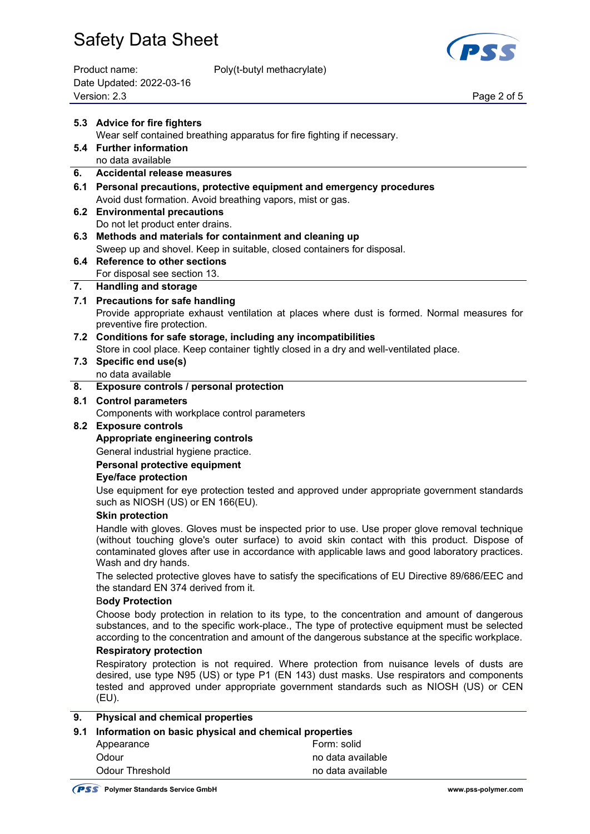

| Product name:            | Poly(t-butyl methacrylate) |             |
|--------------------------|----------------------------|-------------|
| Date Updated: 2022-03-16 |                            |             |
| Version: 2.3             |                            | Page 2 of 5 |

Poly(t-butyl methacrylate)

|                                                                                                                                                                                                                                                                                                                             | 5.3 Advice for fire fighters                                                                                                                                                                                                                                                                                            |                                                                                                                                                                                   |  |
|-----------------------------------------------------------------------------------------------------------------------------------------------------------------------------------------------------------------------------------------------------------------------------------------------------------------------------|-------------------------------------------------------------------------------------------------------------------------------------------------------------------------------------------------------------------------------------------------------------------------------------------------------------------------|-----------------------------------------------------------------------------------------------------------------------------------------------------------------------------------|--|
|                                                                                                                                                                                                                                                                                                                             | Wear self contained breathing apparatus for fire fighting if necessary.                                                                                                                                                                                                                                                 |                                                                                                                                                                                   |  |
|                                                                                                                                                                                                                                                                                                                             | 5.4 Further information<br>no data available                                                                                                                                                                                                                                                                            |                                                                                                                                                                                   |  |
| 6.                                                                                                                                                                                                                                                                                                                          | <b>Accidental release measures</b>                                                                                                                                                                                                                                                                                      |                                                                                                                                                                                   |  |
| 6.1                                                                                                                                                                                                                                                                                                                         | Personal precautions, protective equipment and emergency procedures                                                                                                                                                                                                                                                     |                                                                                                                                                                                   |  |
|                                                                                                                                                                                                                                                                                                                             | Avoid dust formation. Avoid breathing vapors, mist or gas.                                                                                                                                                                                                                                                              |                                                                                                                                                                                   |  |
| 6.2                                                                                                                                                                                                                                                                                                                         | <b>Environmental precautions</b>                                                                                                                                                                                                                                                                                        |                                                                                                                                                                                   |  |
|                                                                                                                                                                                                                                                                                                                             | Do not let product enter drains.                                                                                                                                                                                                                                                                                        |                                                                                                                                                                                   |  |
| 6.3                                                                                                                                                                                                                                                                                                                         | Methods and materials for containment and cleaning up                                                                                                                                                                                                                                                                   |                                                                                                                                                                                   |  |
|                                                                                                                                                                                                                                                                                                                             | Sweep up and shovel. Keep in suitable, closed containers for disposal.                                                                                                                                                                                                                                                  |                                                                                                                                                                                   |  |
| 6.4                                                                                                                                                                                                                                                                                                                         | <b>Reference to other sections</b>                                                                                                                                                                                                                                                                                      |                                                                                                                                                                                   |  |
|                                                                                                                                                                                                                                                                                                                             | For disposal see section 13.                                                                                                                                                                                                                                                                                            |                                                                                                                                                                                   |  |
| 7.                                                                                                                                                                                                                                                                                                                          | <b>Handling and storage</b>                                                                                                                                                                                                                                                                                             |                                                                                                                                                                                   |  |
| 7.1                                                                                                                                                                                                                                                                                                                         | <b>Precautions for safe handling</b>                                                                                                                                                                                                                                                                                    |                                                                                                                                                                                   |  |
|                                                                                                                                                                                                                                                                                                                             | preventive fire protection.                                                                                                                                                                                                                                                                                             | Provide appropriate exhaust ventilation at places where dust is formed. Normal measures for                                                                                       |  |
|                                                                                                                                                                                                                                                                                                                             | 7.2 Conditions for safe storage, including any incompatibilities                                                                                                                                                                                                                                                        |                                                                                                                                                                                   |  |
|                                                                                                                                                                                                                                                                                                                             | Store in cool place. Keep container tightly closed in a dry and well-ventilated place.                                                                                                                                                                                                                                  |                                                                                                                                                                                   |  |
| 7.3                                                                                                                                                                                                                                                                                                                         | Specific end use(s)<br>no data available                                                                                                                                                                                                                                                                                |                                                                                                                                                                                   |  |
| 8.                                                                                                                                                                                                                                                                                                                          | Exposure controls / personal protection                                                                                                                                                                                                                                                                                 |                                                                                                                                                                                   |  |
| 8.1                                                                                                                                                                                                                                                                                                                         | <b>Control parameters</b>                                                                                                                                                                                                                                                                                               |                                                                                                                                                                                   |  |
|                                                                                                                                                                                                                                                                                                                             | Components with workplace control parameters                                                                                                                                                                                                                                                                            |                                                                                                                                                                                   |  |
| 8.2                                                                                                                                                                                                                                                                                                                         | <b>Exposure controls</b>                                                                                                                                                                                                                                                                                                |                                                                                                                                                                                   |  |
|                                                                                                                                                                                                                                                                                                                             | Appropriate engineering controls                                                                                                                                                                                                                                                                                        |                                                                                                                                                                                   |  |
|                                                                                                                                                                                                                                                                                                                             | General industrial hygiene practice.                                                                                                                                                                                                                                                                                    |                                                                                                                                                                                   |  |
|                                                                                                                                                                                                                                                                                                                             | Personal protective equipment                                                                                                                                                                                                                                                                                           |                                                                                                                                                                                   |  |
|                                                                                                                                                                                                                                                                                                                             | <b>Eye/face protection</b>                                                                                                                                                                                                                                                                                              |                                                                                                                                                                                   |  |
|                                                                                                                                                                                                                                                                                                                             | such as NIOSH (US) or EN 166(EU).                                                                                                                                                                                                                                                                                       | Use equipment for eye protection tested and approved under appropriate government standards                                                                                       |  |
|                                                                                                                                                                                                                                                                                                                             | <b>Skin protection</b>                                                                                                                                                                                                                                                                                                  |                                                                                                                                                                                   |  |
|                                                                                                                                                                                                                                                                                                                             | Handle with gloves. Gloves must be inspected prior to use. Use proper glove removal technique<br>(without touching glove's outer surface) to avoid skin contact with this product. Dispose of<br>contaminated gloves after use in accordance with applicable laws and good laboratory practices.<br>Wash and dry hands. |                                                                                                                                                                                   |  |
|                                                                                                                                                                                                                                                                                                                             | The selected protective gloves have to satisfy the specifications of EU Directive 89/686/EEC and<br>the standard EN 374 derived from it.                                                                                                                                                                                |                                                                                                                                                                                   |  |
| <b>Body Protection</b><br>Choose body protection in relation to its type, to the concentration and amount of dangerous<br>substances, and to the specific work-place., The type of protective equipment must be selected<br>according to the concentration and amount of the dangerous substance at the specific workplace. |                                                                                                                                                                                                                                                                                                                         |                                                                                                                                                                                   |  |
|                                                                                                                                                                                                                                                                                                                             |                                                                                                                                                                                                                                                                                                                         |                                                                                                                                                                                   |  |
|                                                                                                                                                                                                                                                                                                                             |                                                                                                                                                                                                                                                                                                                         | Respiratory protection is not required. Where protection from nuisance levels of dusts are                                                                                        |  |
|                                                                                                                                                                                                                                                                                                                             | (EU).                                                                                                                                                                                                                                                                                                                   | desired, use type N95 (US) or type P1 (EN 143) dust masks. Use respirators and components<br>tested and approved under appropriate government standards such as NIOSH (US) or CEN |  |
| 9.                                                                                                                                                                                                                                                                                                                          | <b>Physical and chemical properties</b>                                                                                                                                                                                                                                                                                 |                                                                                                                                                                                   |  |
| 9.1                                                                                                                                                                                                                                                                                                                         | Information on basic physical and chemical properties                                                                                                                                                                                                                                                                   |                                                                                                                                                                                   |  |
|                                                                                                                                                                                                                                                                                                                             | Appearance                                                                                                                                                                                                                                                                                                              | Form: solid                                                                                                                                                                       |  |
|                                                                                                                                                                                                                                                                                                                             | Odour                                                                                                                                                                                                                                                                                                                   | no data available                                                                                                                                                                 |  |
|                                                                                                                                                                                                                                                                                                                             | <b>Odour Threshold</b>                                                                                                                                                                                                                                                                                                  | no data available                                                                                                                                                                 |  |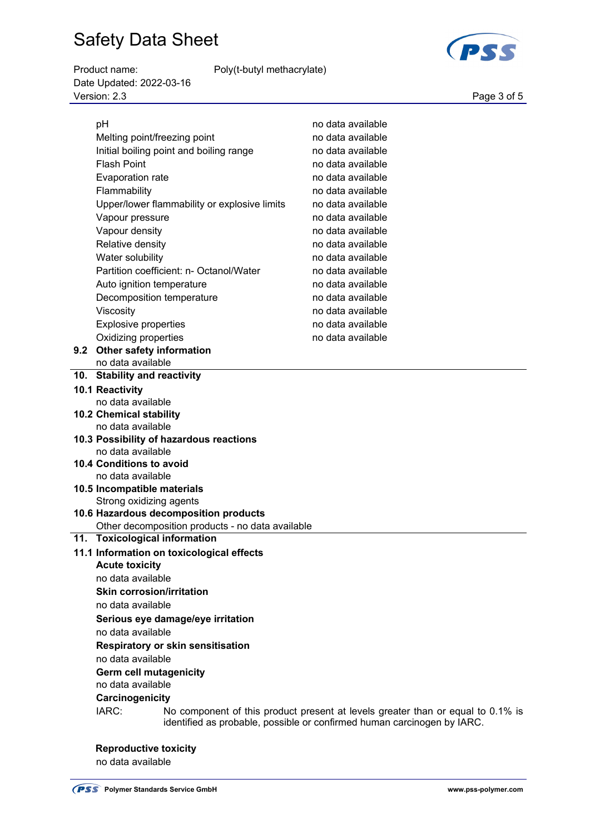Product name: Poly(t-butyl methacrylate)

pH no data available Melting point/freezing point no data available

Date Updated: 2022-03-16 Page 3 of 5<br>Version: 2.3 Page 3 of 5

 $\overline{10}$ . **10.1 Reactivity** 

 $10.2$ 

**10.3** 

 $10.4$ 

**10.5 Incompatible materials** 

**10.6 Hazardous decomposition products** 

 $\overline{11}$ .

| Initial boiling point and boiling range          | no data available                                                               |  |  |
|--------------------------------------------------|---------------------------------------------------------------------------------|--|--|
| <b>Flash Point</b>                               | no data available                                                               |  |  |
| Evaporation rate                                 | no data available                                                               |  |  |
| Flammability                                     | no data available                                                               |  |  |
| Upper/lower flammability or explosive limits     | no data available                                                               |  |  |
| Vapour pressure                                  | no data available                                                               |  |  |
| Vapour density                                   | no data available                                                               |  |  |
| Relative density                                 | no data available                                                               |  |  |
| Water solubility                                 | no data available                                                               |  |  |
| Partition coefficient: n- Octanol/Water          | no data available                                                               |  |  |
| Auto ignition temperature                        | no data available                                                               |  |  |
| Decomposition temperature                        | no data available                                                               |  |  |
| Viscosity                                        | no data available                                                               |  |  |
| <b>Explosive properties</b>                      | no data available                                                               |  |  |
| Oxidizing properties                             | no data available                                                               |  |  |
| 9.2 Other safety information                     |                                                                                 |  |  |
| no data available                                |                                                                                 |  |  |
| 10. Stability and reactivity                     |                                                                                 |  |  |
| 10.1 Reactivity                                  |                                                                                 |  |  |
| no data available                                |                                                                                 |  |  |
| 10.2 Chemical stability                          |                                                                                 |  |  |
| no data available                                |                                                                                 |  |  |
| 10.3 Possibility of hazardous reactions          |                                                                                 |  |  |
| no data available                                |                                                                                 |  |  |
| 10.4 Conditions to avoid<br>no data available    |                                                                                 |  |  |
| 10.5 Incompatible materials                      |                                                                                 |  |  |
| Strong oxidizing agents                          |                                                                                 |  |  |
| 10.6 Hazardous decomposition products            |                                                                                 |  |  |
| Other decomposition products - no data available |                                                                                 |  |  |
| 11. Toxicological information                    |                                                                                 |  |  |
| 11.1 Information on toxicological effects        |                                                                                 |  |  |
| <b>Acute toxicity</b>                            |                                                                                 |  |  |
| no data available                                |                                                                                 |  |  |
| <b>Skin corrosion/irritation</b>                 |                                                                                 |  |  |
| no data available                                |                                                                                 |  |  |
| Serious eye damage/eye irritation                |                                                                                 |  |  |
| no data available                                |                                                                                 |  |  |
| Respiratory or skin sensitisation                |                                                                                 |  |  |
| no data available                                |                                                                                 |  |  |
| <b>Germ cell mutagenicity</b>                    |                                                                                 |  |  |
| no data available                                |                                                                                 |  |  |
| Carcinogenicity                                  |                                                                                 |  |  |
| IARC:                                            | No component of this product present at levels greater than or equal to 0.1% is |  |  |



### **Reproductive toxicity**

no data available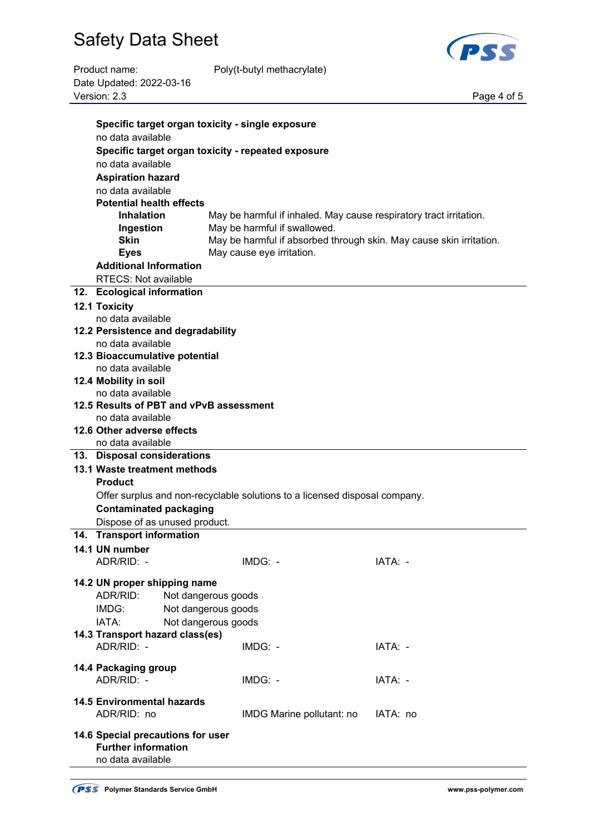

Product name: Poly(t-butyl methacrylate) Date Updated: 2022-03-16 Page 4 of 5<br>Version: 2.3 Page 4 of 5

| Specific target organ toxicity - single exposure |                                                                            |          |  |  |
|--------------------------------------------------|----------------------------------------------------------------------------|----------|--|--|
| no data available                                |                                                                            |          |  |  |
|                                                  | Specific target organ toxicity - repeated exposure                         |          |  |  |
| no data available                                |                                                                            |          |  |  |
| <b>Aspiration hazard</b>                         |                                                                            |          |  |  |
| no data available                                |                                                                            |          |  |  |
| <b>Potential health effects</b>                  |                                                                            |          |  |  |
| <b>Inhalation</b>                                | May be harmful if inhaled. May cause respiratory tract irritation.         |          |  |  |
| Ingestion                                        | May be harmful if swallowed.                                               |          |  |  |
| <b>Skin</b>                                      | May be harmful if absorbed through skin. May cause skin irritation.        |          |  |  |
| <b>Eyes</b>                                      | May cause eye irritation.                                                  |          |  |  |
| <b>Additional Information</b>                    |                                                                            |          |  |  |
| <b>RTECS: Not available</b>                      |                                                                            |          |  |  |
| 12. Ecological information                       |                                                                            |          |  |  |
| <b>12.1 Toxicity</b>                             |                                                                            |          |  |  |
| no data available                                |                                                                            |          |  |  |
| 12.2 Persistence and degradability               |                                                                            |          |  |  |
| no data available                                |                                                                            |          |  |  |
| 12.3 Bioaccumulative potential                   |                                                                            |          |  |  |
| no data available                                |                                                                            |          |  |  |
| 12.4 Mobility in soil                            |                                                                            |          |  |  |
| no data available                                |                                                                            |          |  |  |
| 12.5 Results of PBT and vPvB assessment          |                                                                            |          |  |  |
| no data available                                |                                                                            |          |  |  |
| 12.6 Other adverse effects                       |                                                                            |          |  |  |
| no data available                                |                                                                            |          |  |  |
| 13. Disposal considerations                      |                                                                            |          |  |  |
| 13.1 Waste treatment methods                     |                                                                            |          |  |  |
| <b>Product</b>                                   |                                                                            |          |  |  |
|                                                  | Offer surplus and non-recyclable solutions to a licensed disposal company. |          |  |  |
| <b>Contaminated packaging</b>                    |                                                                            |          |  |  |
| Dispose of as unused product.                    |                                                                            |          |  |  |
| 14. Transport information                        |                                                                            |          |  |  |
| 14.1 UN number                                   |                                                                            |          |  |  |
| ADR/RID: -                                       | IMDG: -                                                                    | IATA: -  |  |  |
| 14.2 UN proper shipping name                     |                                                                            |          |  |  |
| ADR/RID:                                         | Not dangerous goods                                                        |          |  |  |
| IMDG:                                            | Not dangerous goods                                                        |          |  |  |
| IATA:                                            | Not dangerous goods                                                        |          |  |  |
| 14.3 Transport hazard class(es)                  |                                                                            |          |  |  |
| ADR/RID: -                                       | IMDG: -                                                                    | IATA: -  |  |  |
|                                                  |                                                                            |          |  |  |
| 14.4 Packaging group                             |                                                                            |          |  |  |
| ADR/RID: -                                       | IMDG: -                                                                    | IATA: -  |  |  |
| <b>14.5 Environmental hazards</b>                |                                                                            |          |  |  |
| ADR/RID: no                                      | IMDG Marine pollutant: no                                                  | IATA: no |  |  |
|                                                  |                                                                            |          |  |  |
| 14.6 Special precautions for user                |                                                                            |          |  |  |
| <b>Further information</b>                       |                                                                            |          |  |  |
| no data available                                |                                                                            |          |  |  |